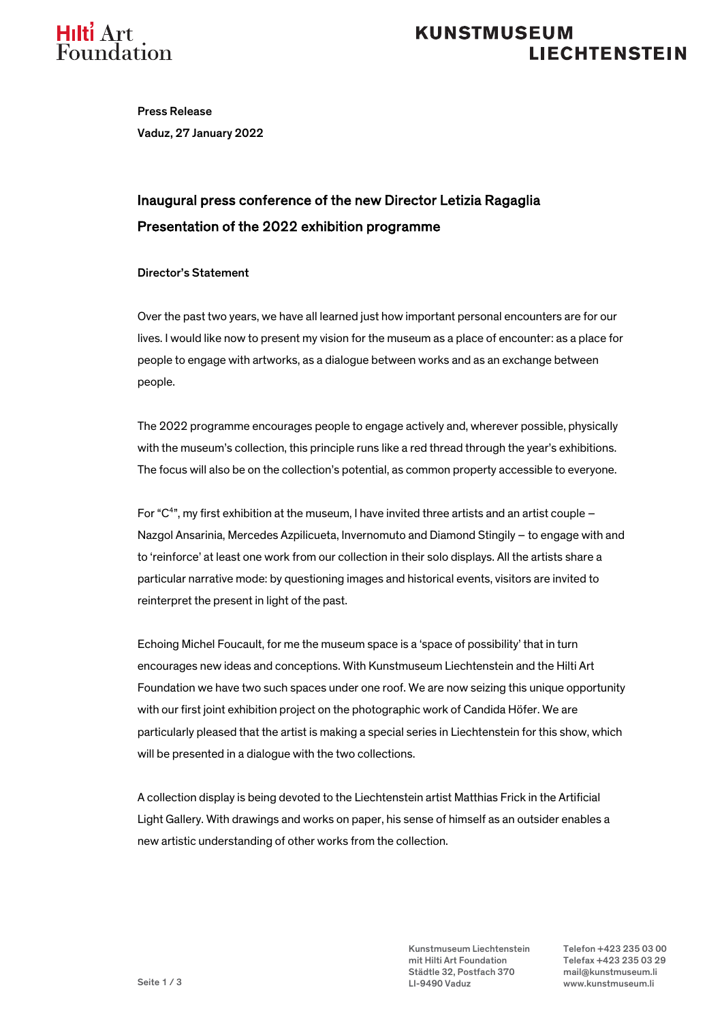

### **KUNSTMUSEUM LIECHTENSTEIN**

Press Release Vaduz, 27 January 2022

## Inaugural press conference of the new Director Letizia Ragaglia Presentation of the 2022 exhibition programme

#### Director's Statement

Over the past two years, we have all learned just how important personal encounters are for our lives. I would like now to present my vision for the museum as a place of encounter: as a place for people to engage with artworks, as a dialogue between works and as an exchange between people.

The 2022 programme encourages people to engage actively and, wherever possible, physically with the museum's collection, this principle runs like a red thread through the year's exhibitions. The focus will also be on the collection's potential, as common property accessible to everyone.

For "C $4$ ", my first exhibition at the museum, I have invited three artists and an artist couple  $-$ Nazgol Ansarinia, Mercedes Azpilicueta, Invernomuto and Diamond Stingily – to engage with and to 'reinforce' at least one work from our collection in their solo displays. All the artists share a particular narrative mode: by questioning images and historical events, visitors are invited to reinterpret the present in light of the past.

Echoing Michel Foucault, for me the museum space is a 'space of possibility' that in turn encourages new ideas and conceptions. With Kunstmuseum Liechtenstein and the Hilti Art Foundation we have two such spaces under one roof. We are now seizing this unique opportunity with our first joint exhibition project on the photographic work of Candida Höfer. We are particularly pleased that the artist is making a special series in Liechtenstein for this show, which will be presented in a dialogue with the two collections.

A collection display is being devoted to the Liechtenstein artist Matthias Frick in the Artificial Light Gallery. With drawings and works on paper, his sense of himself as an outsider enables a new artistic understanding of other works from the collection.

> Kunstmuseum Liechtenstein Telefon +423 235 03 00 mit Hilti Art Foundation Telefax +423 235 03 29 Städtle 32, Postfach 370 mail@kunstmuseum.li LI-9490 Vaduz www.kunstmuseum.li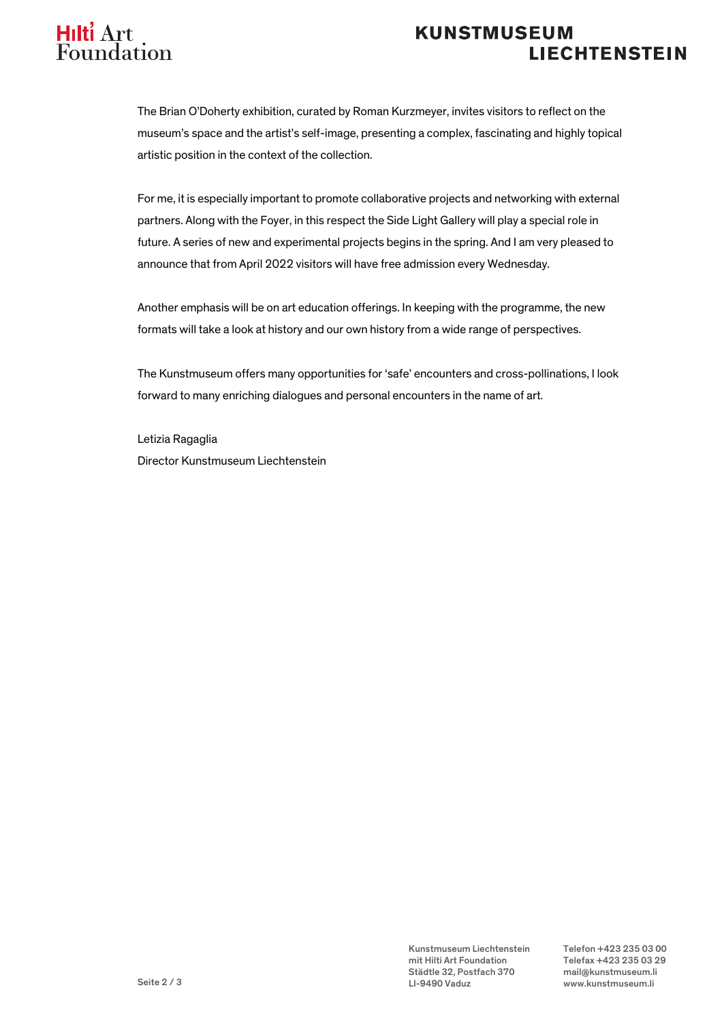# Hilti Art **Foundation**

### **KUNSTMUSEUM LIECHTENSTEIN**

The Brian O'Doherty exhibition, curated by Roman Kurzmeyer, invites visitors to reflect on the museum's space and the artist's self-image, presenting a complex, fascinating and highly topical artistic position in the context of the collection.

For me, it is especially important to promote collaborative projects and networking with external partners. Along with the Foyer, in this respect the Side Light Gallery will play a special role in future. A series of new and experimental projects begins in the spring. And I am very pleased to announce that from April 2022 visitors will have free admission every Wednesday.

Another emphasis will be on art education offerings. In keeping with the programme, the new formats will take a look at history and our own history from a wide range of perspectives.

The Kunstmuseum offers many opportunities for 'safe' encounters and cross-pollinations, I look forward to many enriching dialogues and personal encounters in the name of art.

Letizia Ragaglia Director Kunstmuseum Liechtenstein

> Kunstmuseum Liechtenstein Telefon +423 235 03 00 mit Hilti Art Foundation Telefax +423 235 03 29 Städtle 32, Postfach 370 mail@kunstmuseum.li LI-9490 Vaduz www.kunstmuseum.li